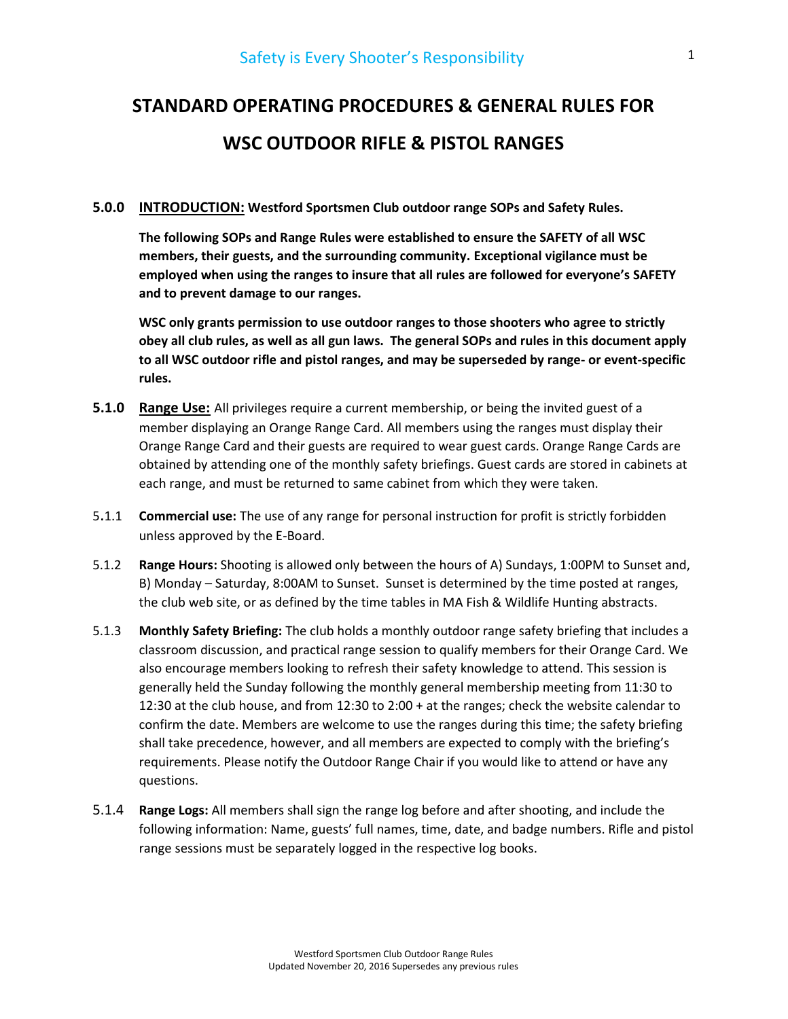# STANDARD OPERATING PROCEDURES & GENERAL RULES FOR WSC OUTDOOR RIFLE & PISTOL RANGES

### 5.0.0 INTRODUCTION: Westford Sportsmen Club outdoor range SOPs and Safety Rules.

The following SOPs and Range Rules were established to ensure the SAFETY of all WSC members, their guests, and the surrounding community. Exceptional vigilance must be employed when using the ranges to insure that all rules are followed for everyone's SAFETY and to prevent damage to our ranges.

WSC only grants permission to use outdoor ranges to those shooters who agree to strictly obey all club rules, as well as all gun laws. The general SOPs and rules in this document apply to all WSC outdoor rifle and pistol ranges, and may be superseded by range- or event-specific rules.

- **5.1.0** Range Use: All privileges require a current membership, or being the invited guest of a member displaying an Orange Range Card. All members using the ranges must display their Orange Range Card and their guests are required to wear guest cards. Orange Range Cards are obtained by attending one of the monthly safety briefings. Guest cards are stored in cabinets at each range, and must be returned to same cabinet from which they were taken.
- 5.1.1 Commercial use: The use of any range for personal instruction for profit is strictly forbidden unless approved by the E-Board.
- 5.1.2 Range Hours: Shooting is allowed only between the hours of A) Sundays, 1:00PM to Sunset and, B) Monday – Saturday, 8:00AM to Sunset. Sunset is determined by the time posted at ranges, the club web site, or as defined by the time tables in MA Fish & Wildlife Hunting abstracts.
- 5.1.3 Monthly Safety Briefing: The club holds a monthly outdoor range safety briefing that includes a classroom discussion, and practical range session to qualify members for their Orange Card. We also encourage members looking to refresh their safety knowledge to attend. This session is generally held the Sunday following the monthly general membership meeting from 11:30 to 12:30 at the club house, and from 12:30 to 2:00 + at the ranges; check the website calendar to confirm the date. Members are welcome to use the ranges during this time; the safety briefing shall take precedence, however, and all members are expected to comply with the briefing's requirements. Please notify the Outdoor Range Chair if you would like to attend or have any questions.
- 5.1.4 Range Logs: All members shall sign the range log before and after shooting, and include the following information: Name, guests' full names, time, date, and badge numbers. Rifle and pistol range sessions must be separately logged in the respective log books.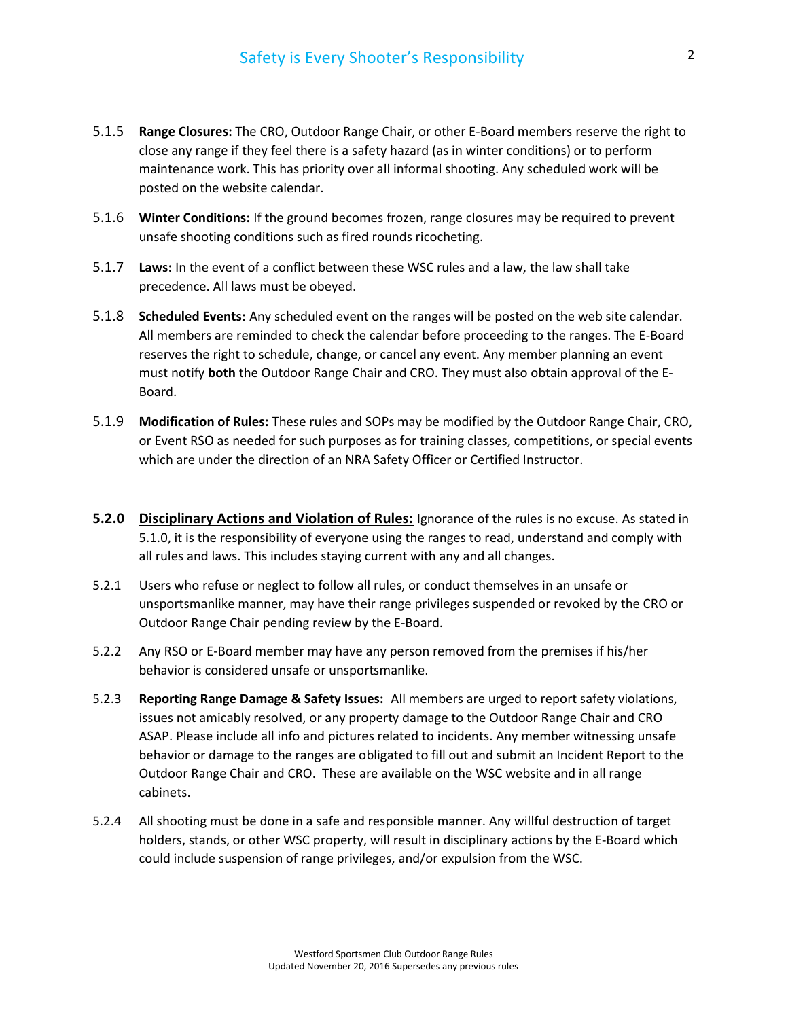- 5.1.5 Range Closures: The CRO, Outdoor Range Chair, or other E-Board members reserve the right to close any range if they feel there is a safety hazard (as in winter conditions) or to perform maintenance work. This has priority over all informal shooting. Any scheduled work will be posted on the website calendar.
- 5.1.6 Winter Conditions: If the ground becomes frozen, range closures may be required to prevent unsafe shooting conditions such as fired rounds ricocheting.
- 5.1.7 Laws: In the event of a conflict between these WSC rules and a law, the law shall take precedence. All laws must be obeyed.
- 5.1.8 Scheduled Events: Any scheduled event on the ranges will be posted on the web site calendar. All members are reminded to check the calendar before proceeding to the ranges. The E-Board reserves the right to schedule, change, or cancel any event. Any member planning an event must notify both the Outdoor Range Chair and CRO. They must also obtain approval of the E-Board.
- 5.1.9 Modification of Rules: These rules and SOPs may be modified by the Outdoor Range Chair, CRO, or Event RSO as needed for such purposes as for training classes, competitions, or special events which are under the direction of an NRA Safety Officer or Certified Instructor.
- **5.2.0 Disciplinary Actions and Violation of Rules:** Ignorance of the rules is no excuse. As stated in 5.1.0, it is the responsibility of everyone using the ranges to read, understand and comply with all rules and laws. This includes staying current with any and all changes.
- 5.2.1 Users who refuse or neglect to follow all rules, or conduct themselves in an unsafe or unsportsmanlike manner, may have their range privileges suspended or revoked by the CRO or Outdoor Range Chair pending review by the E-Board.
- 5.2.2 Any RSO or E-Board member may have any person removed from the premises if his/her behavior is considered unsafe or unsportsmanlike.
- 5.2.3 Reporting Range Damage & Safety Issues: All members are urged to report safety violations, issues not amicably resolved, or any property damage to the Outdoor Range Chair and CRO ASAP. Please include all info and pictures related to incidents. Any member witnessing unsafe behavior or damage to the ranges are obligated to fill out and submit an Incident Report to the Outdoor Range Chair and CRO. These are available on the WSC website and in all range cabinets.
- 5.2.4 All shooting must be done in a safe and responsible manner. Any willful destruction of target holders, stands, or other WSC property, will result in disciplinary actions by the E-Board which could include suspension of range privileges, and/or expulsion from the WSC.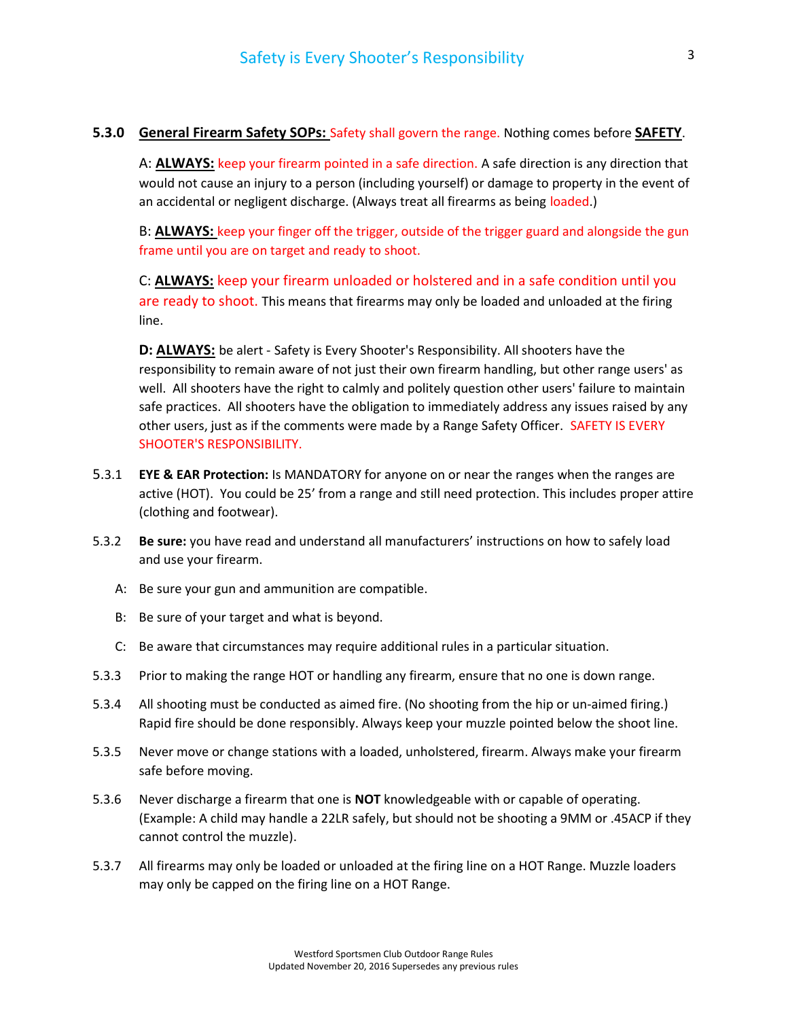# 5.3.0 General Firearm Safety SOPs: Safety shall govern the range. Nothing comes before SAFETY.

A: **ALWAYS:** keep your firearm pointed in a safe direction. A safe direction is any direction that would not cause an injury to a person (including yourself) or damage to property in the event of an accidental or negligent discharge. (Always treat all firearms as being loaded.)

B: **ALWAYS:** keep your finger off the trigger, outside of the trigger guard and alongside the gun frame until you are on target and ready to shoot.

 C: ALWAYS: keep your firearm unloaded or holstered and in a safe condition until you are ready to shoot. This means that firearms may only be loaded and unloaded at the firing line.

D: **ALWAYS:** be alert - Safety is Every Shooter's Responsibility. All shooters have the responsibility to remain aware of not just their own firearm handling, but other range users' as well. All shooters have the right to calmly and politely question other users' failure to maintain safe practices. All shooters have the obligation to immediately address any issues raised by any other users, just as if the comments were made by a Range Safety Officer. SAFETY IS EVERY SHOOTER'S RESPONSIBILITY.

- 5.3.1 EYE & EAR Protection: Is MANDATORY for anyone on or near the ranges when the ranges are active (HOT). You could be 25' from a range and still need protection. This includes proper attire (clothing and footwear).
- 5.3.2 Be sure: you have read and understand all manufacturers' instructions on how to safely load and use your firearm.
	- A: Be sure your gun and ammunition are compatible.
	- B: Be sure of your target and what is beyond.
	- C: Be aware that circumstances may require additional rules in a particular situation.
- 5.3.3 Prior to making the range HOT or handling any firearm, ensure that no one is down range.
- 5.3.4 All shooting must be conducted as aimed fire. (No shooting from the hip or un-aimed firing.) Rapid fire should be done responsibly. Always keep your muzzle pointed below the shoot line.
- 5.3.5 Never move or change stations with a loaded, unholstered, firearm. Always make your firearm safe before moving.
- 5.3.6 Never discharge a firearm that one is **NOT** knowledgeable with or capable of operating. (Example: A child may handle a 22LR safely, but should not be shooting a 9MM or .45ACP if they cannot control the muzzle).
- 5.3.7 All firearms may only be loaded or unloaded at the firing line on a HOT Range. Muzzle loaders may only be capped on the firing line on a HOT Range.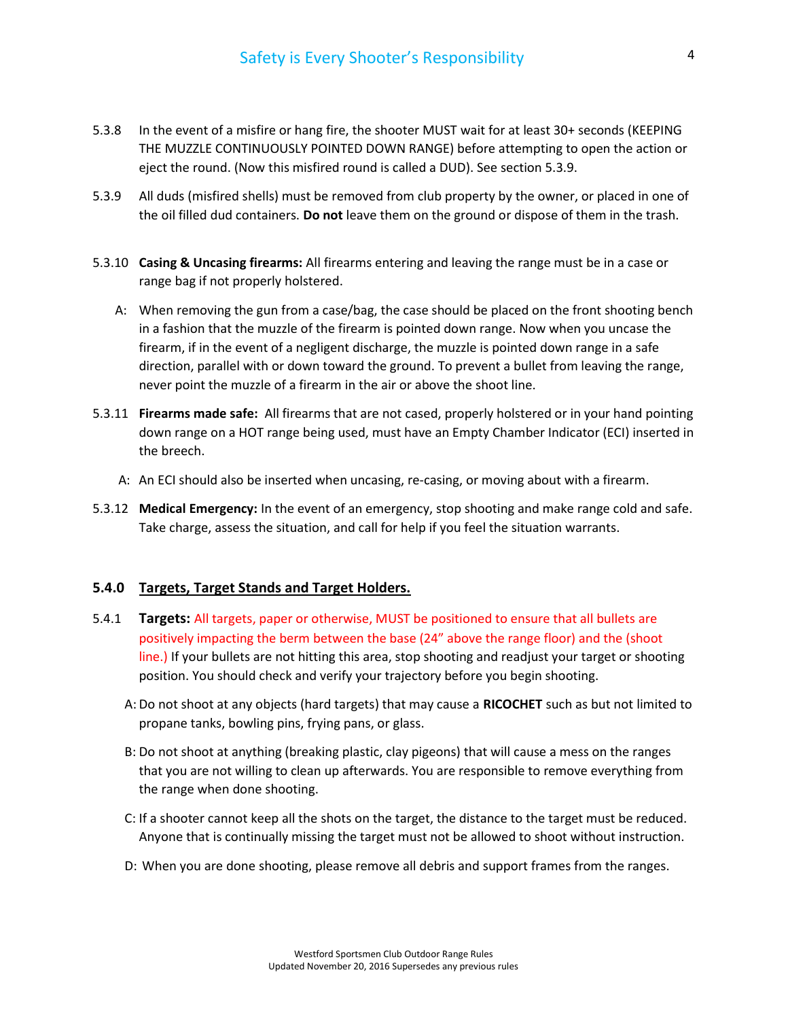- 5.3.8 In the event of a misfire or hang fire, the shooter MUST wait for at least 30+ seconds (KEEPING THE MUZZLE CONTINUOUSLY POINTED DOWN RANGE) before attempting to open the action or eject the round. (Now this misfired round is called a DUD). See section 5.3.9.
- 5.3.9 All duds (misfired shells) must be removed from club property by the owner, or placed in one of the oil filled dud containers. Do not leave them on the ground or dispose of them in the trash.
- 5.3.10 Casing & Uncasing firearms: All firearms entering and leaving the range must be in a case or range bag if not properly holstered.
	- A: When removing the gun from a case/bag, the case should be placed on the front shooting bench in a fashion that the muzzle of the firearm is pointed down range. Now when you uncase the firearm, if in the event of a negligent discharge, the muzzle is pointed down range in a safe direction, parallel with or down toward the ground. To prevent a bullet from leaving the range, never point the muzzle of a firearm in the air or above the shoot line.
- 5.3.11 **Firearms made safe:** All firearms that are not cased, properly holstered or in your hand pointing down range on a HOT range being used, must have an Empty Chamber Indicator (ECI) inserted in the breech.
	- A: An ECI should also be inserted when uncasing, re-casing, or moving about with a firearm.
- 5.3.12 Medical Emergency: In the event of an emergency, stop shooting and make range cold and safe. Take charge, assess the situation, and call for help if you feel the situation warrants.

#### 5.4.0 Targets, Target Stands and Target Holders.

- 5.4.1 Targets: All targets, paper or otherwise, MUST be positioned to ensure that all bullets are positively impacting the berm between the base (24" above the range floor) and the (shoot line.) If your bullets are not hitting this area, stop shooting and readjust your target or shooting position. You should check and verify your trajectory before you begin shooting.
	- A: Do not shoot at any objects (hard targets) that may cause a RICOCHET such as but not limited to propane tanks, bowling pins, frying pans, or glass.
	- B: Do not shoot at anything (breaking plastic, clay pigeons) that will cause a mess on the ranges that you are not willing to clean up afterwards. You are responsible to remove everything from the range when done shooting.
	- C: If a shooter cannot keep all the shots on the target, the distance to the target must be reduced. Anyone that is continually missing the target must not be allowed to shoot without instruction.
	- D: When you are done shooting, please remove all debris and support frames from the ranges.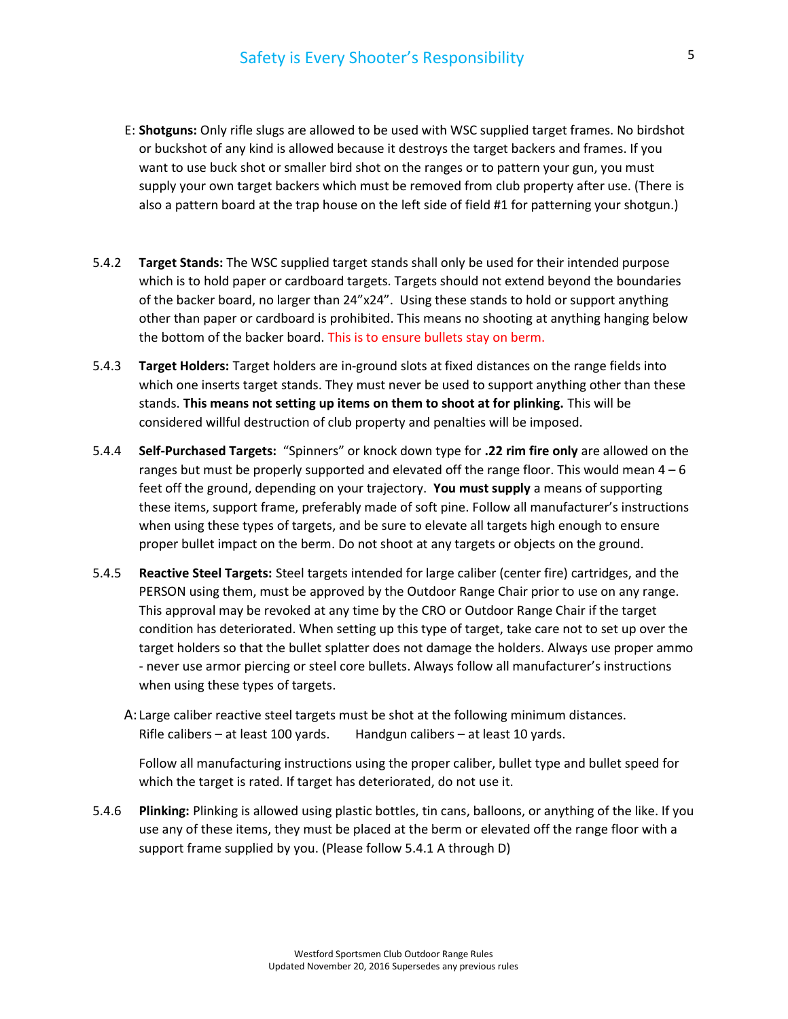- E: Shotguns: Only rifle slugs are allowed to be used with WSC supplied target frames. No birdshot or buckshot of any kind is allowed because it destroys the target backers and frames. If you want to use buck shot or smaller bird shot on the ranges or to pattern your gun, you must supply your own target backers which must be removed from club property after use. (There is also a pattern board at the trap house on the left side of field #1 for patterning your shotgun.)
- 5.4.2 **Target Stands:** The WSC supplied target stands shall only be used for their intended purpose which is to hold paper or cardboard targets. Targets should not extend beyond the boundaries of the backer board, no larger than 24"x24". Using these stands to hold or support anything other than paper or cardboard is prohibited. This means no shooting at anything hanging below the bottom of the backer board. This is to ensure bullets stay on berm.
- 5.4.3 Target Holders: Target holders are in-ground slots at fixed distances on the range fields into which one inserts target stands. They must never be used to support anything other than these stands. This means not setting up items on them to shoot at for plinking. This will be considered willful destruction of club property and penalties will be imposed.
- 5.4.4 Self-Purchased Targets: "Spinners" or knock down type for .22 rim fire only are allowed on the ranges but must be properly supported and elevated off the range floor. This would mean  $4 - 6$ feet off the ground, depending on your trajectory. You must supply a means of supporting these items, support frame, preferably made of soft pine. Follow all manufacturer's instructions when using these types of targets, and be sure to elevate all targets high enough to ensure proper bullet impact on the berm. Do not shoot at any targets or objects on the ground.
- 5.4.5 Reactive Steel Targets: Steel targets intended for large caliber (center fire) cartridges, and the PERSON using them, must be approved by the Outdoor Range Chair prior to use on any range. This approval may be revoked at any time by the CRO or Outdoor Range Chair if the target condition has deteriorated. When setting up this type of target, take care not to set up over the target holders so that the bullet splatter does not damage the holders. Always use proper ammo - never use armor piercing or steel core bullets. Always follow all manufacturer's instructions when using these types of targets.
	- A: Large caliber reactive steel targets must be shot at the following minimum distances. Rifle calibers – at least 100 yards. Handgun calibers – at least 10 yards.

Follow all manufacturing instructions using the proper caliber, bullet type and bullet speed for which the target is rated. If target has deteriorated, do not use it.

5.4.6 Plinking: Plinking is allowed using plastic bottles, tin cans, balloons, or anything of the like. If you use any of these items, they must be placed at the berm or elevated off the range floor with a support frame supplied by you. (Please follow 5.4.1 A through D)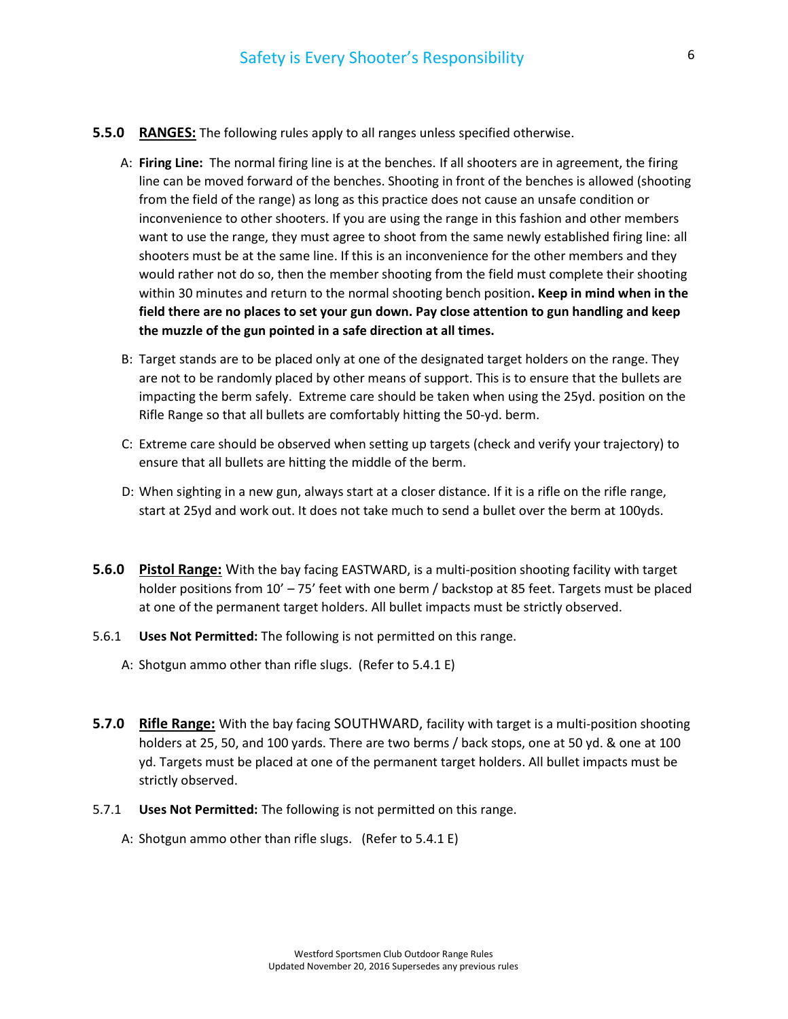- **5.5.0 RANGES:** The following rules apply to all ranges unless specified otherwise.
	- A: Firing Line: The normal firing line is at the benches. If all shooters are in agreement, the firing line can be moved forward of the benches. Shooting in front of the benches is allowed (shooting from the field of the range) as long as this practice does not cause an unsafe condition or inconvenience to other shooters. If you are using the range in this fashion and other members want to use the range, they must agree to shoot from the same newly established firing line: all shooters must be at the same line. If this is an inconvenience for the other members and they would rather not do so, then the member shooting from the field must complete their shooting within 30 minutes and return to the normal shooting bench position. Keep in mind when in the field there are no places to set your gun down. Pay close attention to gun handling and keep the muzzle of the gun pointed in a safe direction at all times.
	- B: Target stands are to be placed only at one of the designated target holders on the range. They are not to be randomly placed by other means of support. This is to ensure that the bullets are impacting the berm safely. Extreme care should be taken when using the 25yd. position on the Rifle Range so that all bullets are comfortably hitting the 50-yd. berm.
	- C: Extreme care should be observed when setting up targets (check and verify your trajectory) to ensure that all bullets are hitting the middle of the berm.
	- D: When sighting in a new gun, always start at a closer distance. If it is a rifle on the rifle range, start at 25yd and work out. It does not take much to send a bullet over the berm at 100yds.
- **5.6.0 Pistol Range:** With the bay facing EASTWARD, is a multi-position shooting facility with target holder positions from 10' - 75' feet with one berm / backstop at 85 feet. Targets must be placed at one of the permanent target holders. All bullet impacts must be strictly observed.
- 5.6.1 Uses Not Permitted: The following is not permitted on this range.
	- A: Shotgun ammo other than rifle slugs. (Refer to 5.4.1 E)
- **5.7.0 Rifle Range:** With the bay facing SOUTHWARD, facility with target is a multi-position shooting holders at 25, 50, and 100 yards. There are two berms / back stops, one at 50 yd. & one at 100 yd. Targets must be placed at one of the permanent target holders. All bullet impacts must be strictly observed.
- 5.7.1 Uses Not Permitted: The following is not permitted on this range.
	- A: Shotgun ammo other than rifle slugs. (Refer to 5.4.1 E)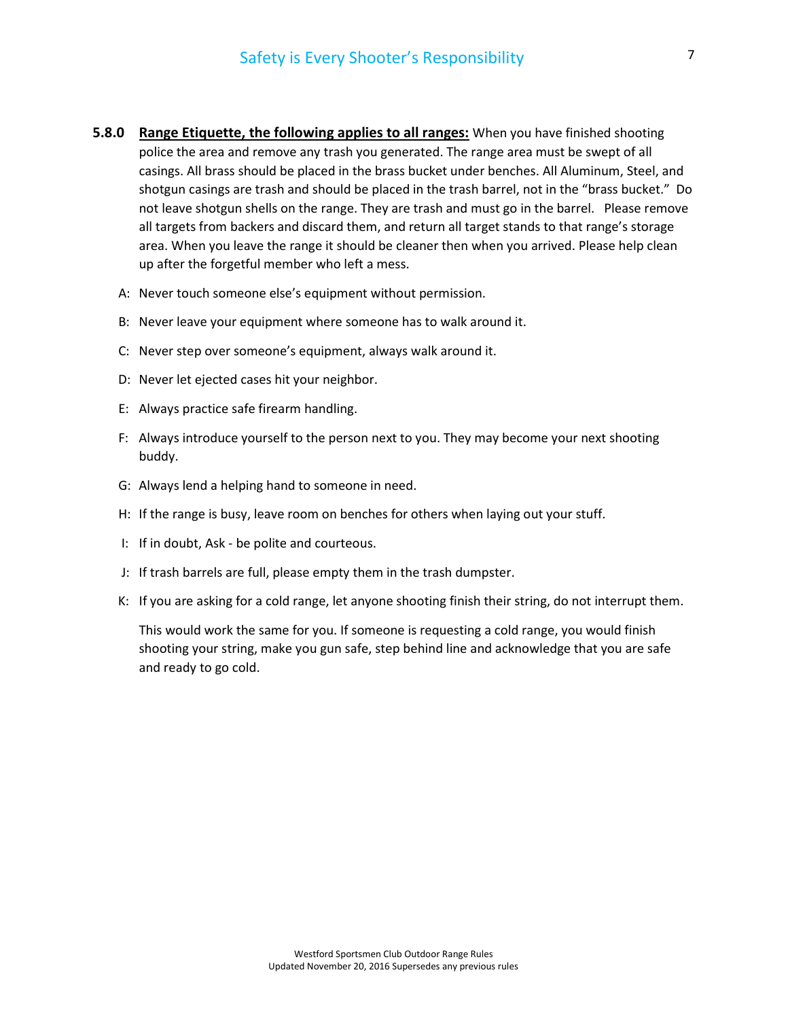- 5.8.0 Range Etiquette, the following applies to all ranges: When you have finished shooting police the area and remove any trash you generated. The range area must be swept of all casings. All brass should be placed in the brass bucket under benches. All Aluminum, Steel, and shotgun casings are trash and should be placed in the trash barrel, not in the "brass bucket." Do not leave shotgun shells on the range. They are trash and must go in the barrel. Please remove all targets from backers and discard them, and return all target stands to that range's storage area. When you leave the range it should be cleaner then when you arrived. Please help clean up after the forgetful member who left a mess.
	- A: Never touch someone else's equipment without permission.
	- B: Never leave your equipment where someone has to walk around it.
	- C: Never step over someone's equipment, always walk around it.
	- D: Never let ejected cases hit your neighbor.
	- E: Always practice safe firearm handling.
	- F: Always introduce yourself to the person next to you. They may become your next shooting buddy.
	- G: Always lend a helping hand to someone in need.
	- H: If the range is busy, leave room on benches for others when laying out your stuff.
	- I: If in doubt, Ask be polite and courteous.
	- J: If trash barrels are full, please empty them in the trash dumpster.
	- K: If you are asking for a cold range, let anyone shooting finish their string, do not interrupt them.

This would work the same for you. If someone is requesting a cold range, you would finish shooting your string, make you gun safe, step behind line and acknowledge that you are safe and ready to go cold.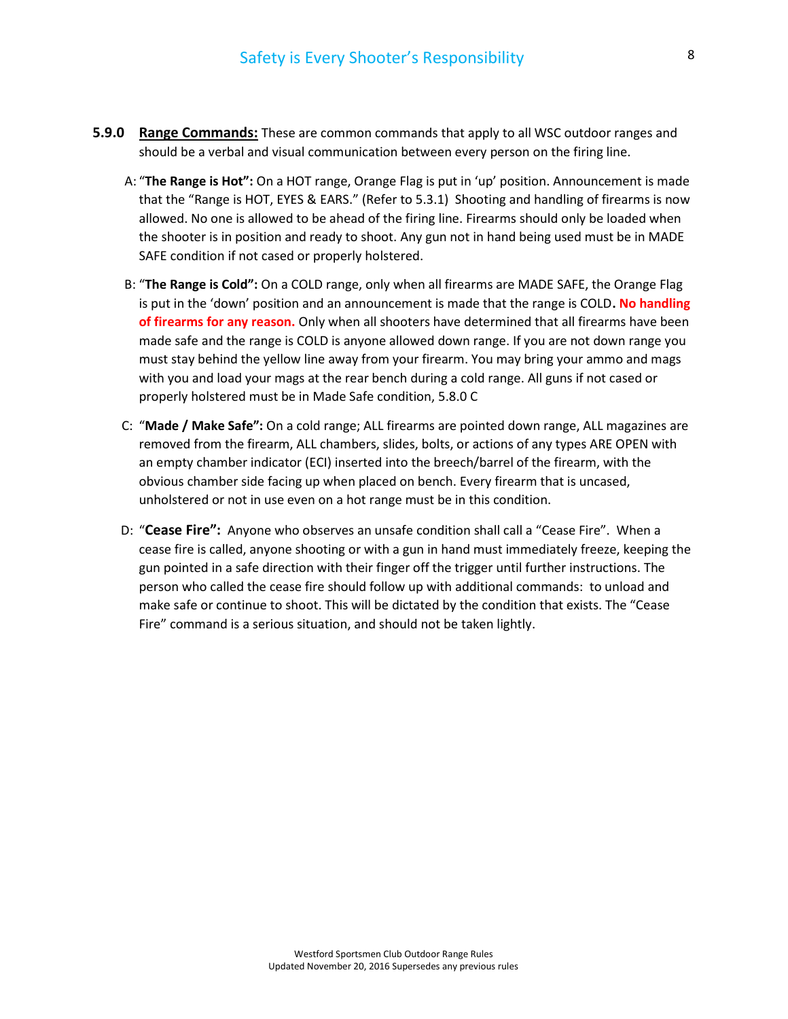- **5.9.0 Range Commands:** These are common commands that apply to all WSC outdoor ranges and should be a verbal and visual communication between every person on the firing line.
	- A: "The Range is Hot": On a HOT range, Orange Flag is put in 'up' position. Announcement is made that the "Range is HOT, EYES & EARS." (Refer to 5.3.1) Shooting and handling of firearms is now allowed. No one is allowed to be ahead of the firing line. Firearms should only be loaded when the shooter is in position and ready to shoot. Any gun not in hand being used must be in MADE SAFE condition if not cased or properly holstered.
	- B: "The Range is Cold": On a COLD range, only when all firearms are MADE SAFE, the Orange Flag is put in the 'down' position and an announcement is made that the range is COLD. No handling of firearms for any reason. Only when all shooters have determined that all firearms have been made safe and the range is COLD is anyone allowed down range. If you are not down range you must stay behind the yellow line away from your firearm. You may bring your ammo and mags with you and load your mags at the rear bench during a cold range. All guns if not cased or properly holstered must be in Made Safe condition, 5.8.0 C
	- C: "Made / Make Safe": On a cold range; ALL firearms are pointed down range, ALL magazines are removed from the firearm, ALL chambers, slides, bolts, or actions of any types ARE OPEN with an empty chamber indicator (ECI) inserted into the breech/barrel of the firearm, with the obvious chamber side facing up when placed on bench. Every firearm that is uncased, unholstered or not in use even on a hot range must be in this condition.
	- D: "Cease Fire": Anyone who observes an unsafe condition shall call a "Cease Fire". When a cease fire is called, anyone shooting or with a gun in hand must immediately freeze, keeping the gun pointed in a safe direction with their finger off the trigger until further instructions. The person who called the cease fire should follow up with additional commands: to unload and make safe or continue to shoot. This will be dictated by the condition that exists. The "Cease Fire" command is a serious situation, and should not be taken lightly.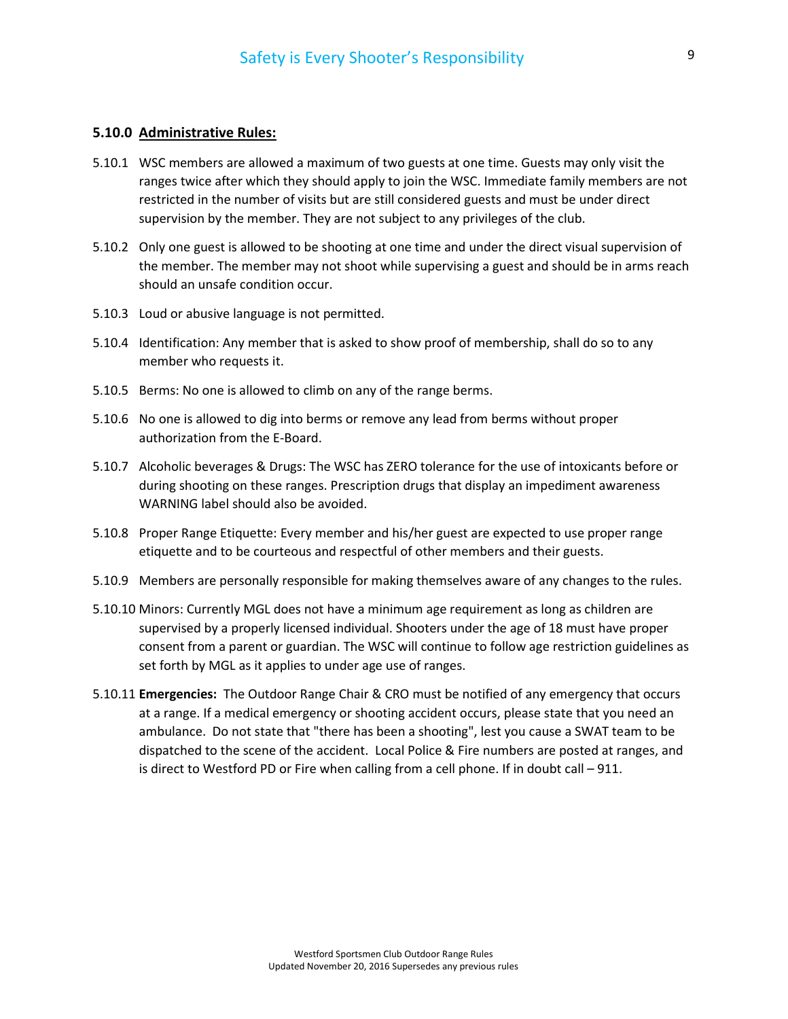# 5.10.0 Administrative Rules:

- 5.10.1 WSC members are allowed a maximum of two guests at one time. Guests may only visit the ranges twice after which they should apply to join the WSC. Immediate family members are not restricted in the number of visits but are still considered guests and must be under direct supervision by the member. They are not subject to any privileges of the club.
- 5.10.2 Only one guest is allowed to be shooting at one time and under the direct visual supervision of the member. The member may not shoot while supervising a guest and should be in arms reach should an unsafe condition occur.
- 5.10.3 Loud or abusive language is not permitted.
- 5.10.4 Identification: Any member that is asked to show proof of membership, shall do so to any member who requests it.
- 5.10.5 Berms: No one is allowed to climb on any of the range berms.
- 5.10.6 No one is allowed to dig into berms or remove any lead from berms without proper authorization from the E-Board.
- 5.10.7 Alcoholic beverages & Drugs: The WSC has ZERO tolerance for the use of intoxicants before or during shooting on these ranges. Prescription drugs that display an impediment awareness WARNING label should also be avoided.
- 5.10.8 Proper Range Etiquette: Every member and his/her guest are expected to use proper range etiquette and to be courteous and respectful of other members and their guests.
- 5.10.9 Members are personally responsible for making themselves aware of any changes to the rules.
- 5.10.10 Minors: Currently MGL does not have a minimum age requirement as long as children are supervised by a properly licensed individual. Shooters under the age of 18 must have proper consent from a parent or guardian. The WSC will continue to follow age restriction guidelines as set forth by MGL as it applies to under age use of ranges.
- 5.10.11 Emergencies: The Outdoor Range Chair & CRO must be notified of any emergency that occurs at a range. If a medical emergency or shooting accident occurs, please state that you need an ambulance. Do not state that "there has been a shooting", lest you cause a SWAT team to be dispatched to the scene of the accident. Local Police & Fire numbers are posted at ranges, and is direct to Westford PD or Fire when calling from a cell phone. If in doubt call – 911.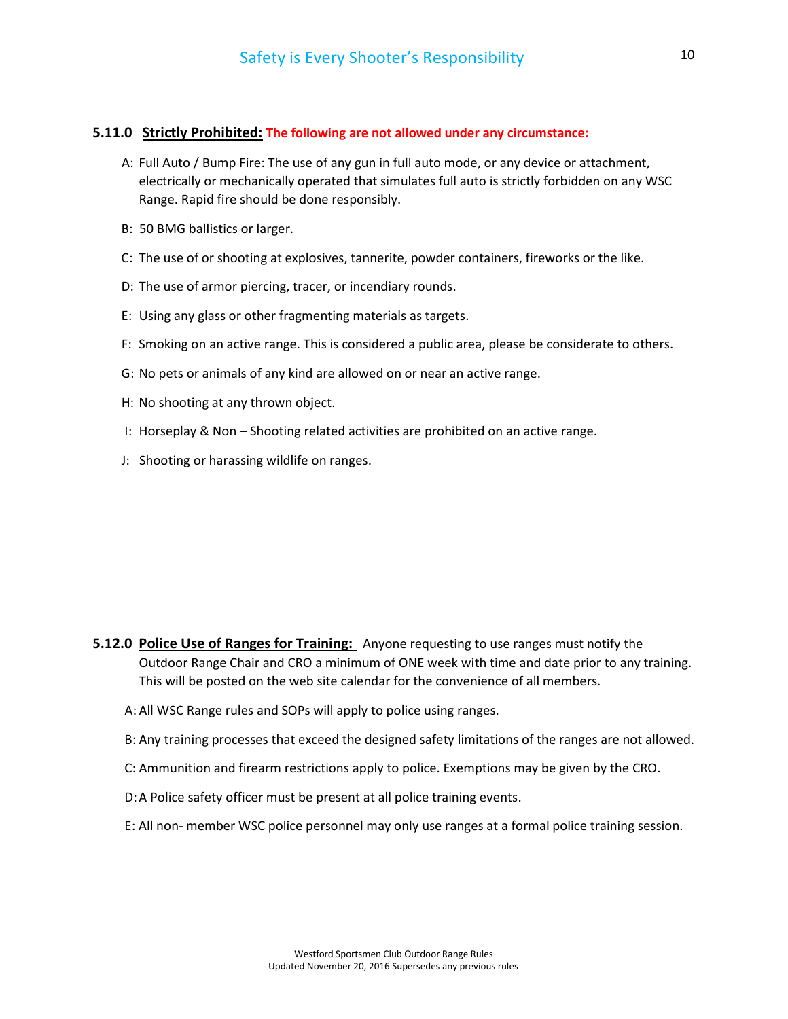### 5.11.0 Strictly Prohibited: The following are not allowed under any circumstance:

- A: Full Auto / Bump Fire: The use of any gun in full auto mode, or any device or attachment, electrically or mechanically operated that simulates full auto is strictly forbidden on any WSC Range. Rapid fire should be done responsibly.
- B: 50 BMG ballistics or larger.
- C: The use of or shooting at explosives, tannerite, powder containers, fireworks or the like.
- D: The use of armor piercing, tracer, or incendiary rounds.
- E: Using any glass or other fragmenting materials as targets.
- F: Smoking on an active range. This is considered a public area, please be considerate to others.
- G: No pets or animals of any kind are allowed on or near an active range.
- H: No shooting at any thrown object.
- I: Horseplay & Non Shooting related activities are prohibited on an active range.
- J: Shooting or harassing wildlife on ranges.

- 5.12.0 Police Use of Ranges for Training: Anyone requesting to use ranges must notify the Outdoor Range Chair and CRO a minimum of ONE week with time and date prior to any training. This will be posted on the web site calendar for the convenience of all members.
	- A: All WSC Range rules and SOPs will apply to police using ranges.
	- B: Any training processes that exceed the designed safety limitations of the ranges are not allowed.
	- C: Ammunition and firearm restrictions apply to police. Exemptions may be given by the CRO.
	- D: A Police safety officer must be present at all police training events.
	- E: All non- member WSC police personnel may only use ranges at a formal police training session.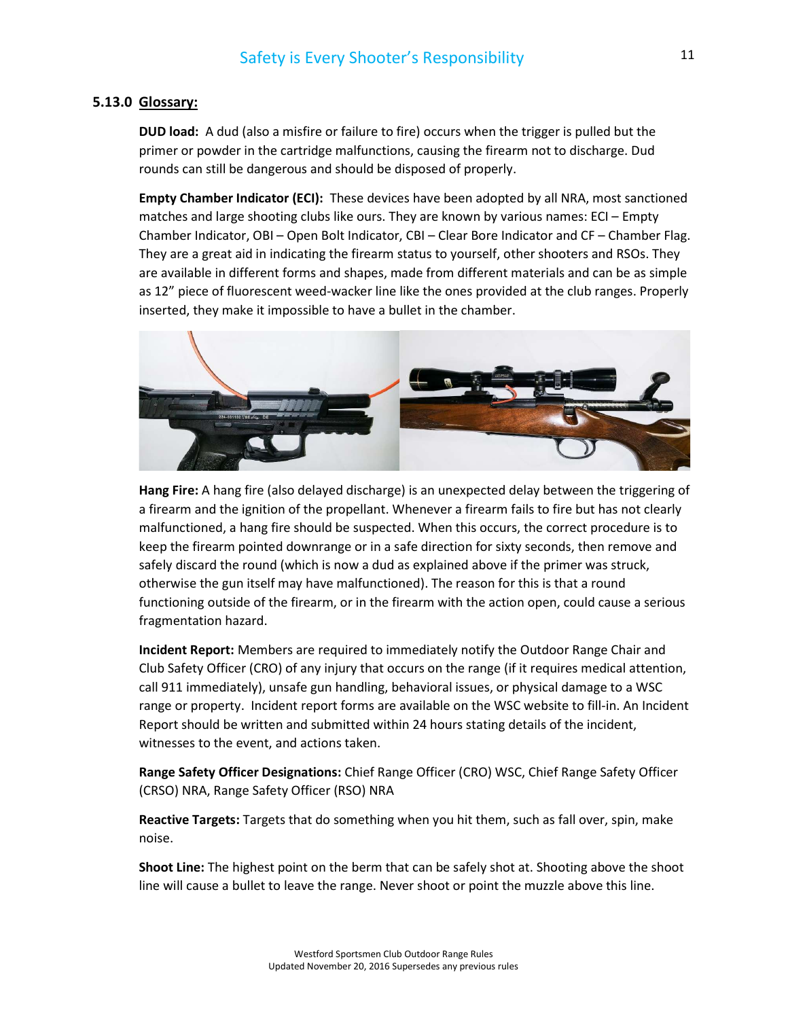## 5.13.0 Glossary:

DUD load: A dud (also a misfire or failure to fire) occurs when the trigger is pulled but the primer or powder in the cartridge malfunctions, causing the firearm not to discharge. Dud rounds can still be dangerous and should be disposed of properly.

Empty Chamber Indicator (ECI): These devices have been adopted by all NRA, most sanctioned matches and large shooting clubs like ours. They are known by various names: ECI – Empty Chamber Indicator, OBI – Open Bolt Indicator, CBI – Clear Bore Indicator and CF – Chamber Flag. They are a great aid in indicating the firearm status to yourself, other shooters and RSOs. They are available in different forms and shapes, made from different materials and can be as simple as 12" piece of fluorescent weed-wacker line like the ones provided at the club ranges. Properly inserted, they make it impossible to have a bullet in the chamber.



Hang Fire: A hang fire (also delayed discharge) is an unexpected delay between the triggering of a firearm and the ignition of the propellant. Whenever a firearm fails to fire but has not clearly malfunctioned, a hang fire should be suspected. When this occurs, the correct procedure is to keep the firearm pointed downrange or in a safe direction for sixty seconds, then remove and safely discard the round (which is now a dud as explained above if the primer was struck, otherwise the gun itself may have malfunctioned). The reason for this is that a round functioning outside of the firearm, or in the firearm with the action open, could cause a serious fragmentation hazard.

Incident Report: Members are required to immediately notify the Outdoor Range Chair and Club Safety Officer (CRO) of any injury that occurs on the range (if it requires medical attention, call 911 immediately), unsafe gun handling, behavioral issues, or physical damage to a WSC range or property. Incident report forms are available on the WSC website to fill-in. An Incident Report should be written and submitted within 24 hours stating details of the incident, witnesses to the event, and actions taken.

Range Safety Officer Designations: Chief Range Officer (CRO) WSC, Chief Range Safety Officer (CRSO) NRA, Range Safety Officer (RSO) NRA

Reactive Targets: Targets that do something when you hit them, such as fall over, spin, make noise.

Shoot Line: The highest point on the berm that can be safely shot at. Shooting above the shoot line will cause a bullet to leave the range. Never shoot or point the muzzle above this line.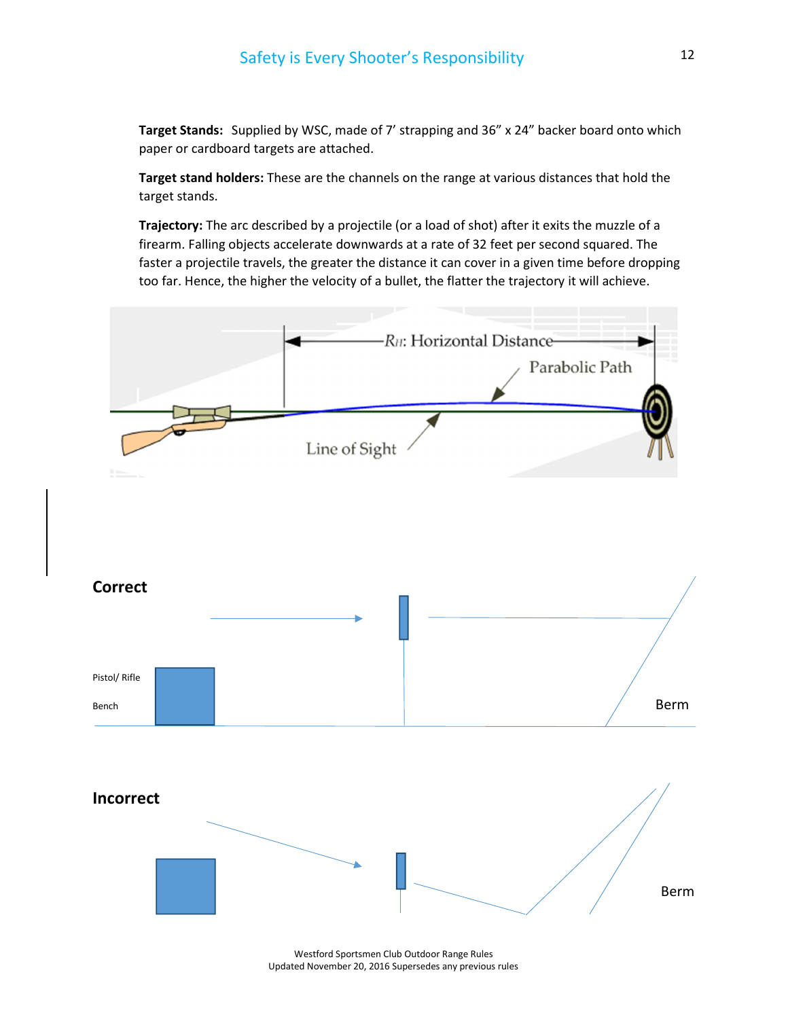Target Stands: Supplied by WSC, made of 7' strapping and 36" x 24" backer board onto which paper or cardboard targets are attached.

Target stand holders: These are the channels on the range at various distances that hold the target stands.

Trajectory: The arc described by a projectile (or a load of shot) after it exits the muzzle of a firearm. Falling objects accelerate downwards at a rate of 32 feet per second squared. The faster a projectile travels, the greater the distance it can cover in a given time before dropping too far. Hence, the higher the velocity of a bullet, the flatter the trajectory it will achieve.



Updated November 20, 2016 Supersedes any previous rules